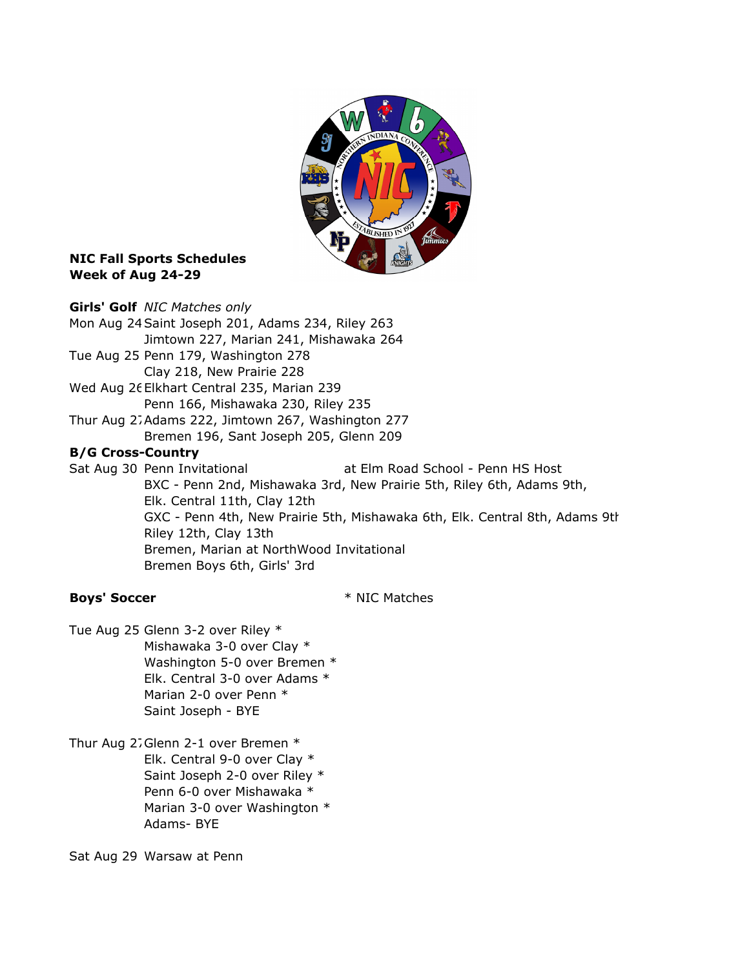

## **NIC Fall Sports Schedules** Week of Aug 24-29

Girls' Golf NIC Matches only Mon Aug 24Saint Joseph 201, Adams 234, Riley 263 Jimtown 227, Marian 241, Mishawaka 264 Tue Aug 25 Penn 179, Washington 278 Clay 218, New Prairie 228 Wed Aug 26Elkhart Central 235, Marian 239 Penn 166, Mishawaka 230, Riley 235 Thur Aug 27Adams 222, Jimtown 267, Washington 277 Bremen 196, Sant Joseph 205, Glenn 209 B/G Cross-Country Sat Aug 30 Penn Invitational at Elm Road School - Penn HS Host BXC - Penn 2nd, Mishawaka 3rd, New Prairie 5th, Riley 6th, Adams 9th, Elk. Central 11th, Clay 12th GXC - Penn 4th, New Prairie 5th, Mishawaka 6th, Elk. Central 8th, Adams 9th, Riley 12th, Clay 13th Bremen, Marian at NorthWood Invitational Bremen Boys 6th, Girls' 3rd

Boys' Soccer \* NIC Matches

- Tue Aug 25 Glenn 3-2 over Riley \* Mishawaka 3-0 over Clay \* Washington 5-0 over Bremen \* Elk. Central 3-0 over Adams \* Marian 2-0 over Penn \* Saint Joseph - BYE
- Thur Aug 27Glenn 2-1 over Bremen \* Elk. Central 9-0 over Clay \* Saint Joseph 2-0 over Riley \* Penn 6-0 over Mishawaka \* Marian 3-0 over Washington \* Adams- BYE

Sat Aug 29 Warsaw at Penn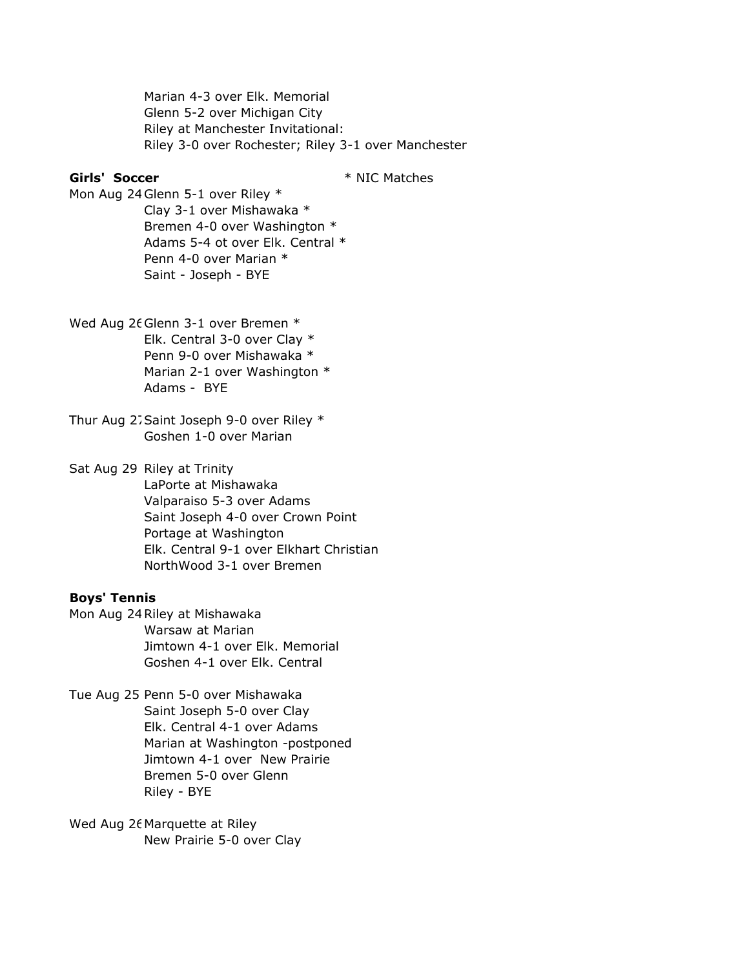Marian 4-3 over Elk. Memorial Glenn 5-2 over Michigan City Riley at Manchester Invitational: Riley 3-0 over Rochester; Riley 3-1 over Manchester

### Girls' Soccer \* NIC Matches

Mon Aug 24Glenn 5-1 over Riley \* Clay 3-1 over Mishawaka \* Bremen 4-0 over Washington \* Adams 5-4 ot over Elk. Central \* Penn 4-0 over Marian \*

Saint - Joseph - BYE

Wed Aug 26Glenn 3-1 over Bremen \* Elk. Central 3-0 over Clay \* Penn 9-0 over Mishawaka \* Marian 2-1 over Washington \* Adams - BYE

Thur Aug 27Saint Joseph 9-0 over Riley \* Goshen 1-0 over Marian

Sat Aug 29 Riley at Trinity LaPorte at Mishawaka Valparaiso 5-3 over Adams Saint Joseph 4-0 over Crown Point Portage at Washington Elk. Central 9-1 over Elkhart Christian NorthWood 3-1 over Bremen

## Boys' Tennis

Mon Aug 24Riley at Mishawaka Warsaw at Marian Jimtown 4-1 over Elk. Memorial Goshen 4-1 over Elk. Central

Tue Aug 25 Penn 5-0 over Mishawaka Saint Joseph 5-0 over Clay Elk. Central 4-1 over Adams Marian at Washington -postponed Jimtown 4-1 over New Prairie Bremen 5-0 over Glenn Riley - BYE

Wed Aug 26Marquette at Riley New Prairie 5-0 over Clay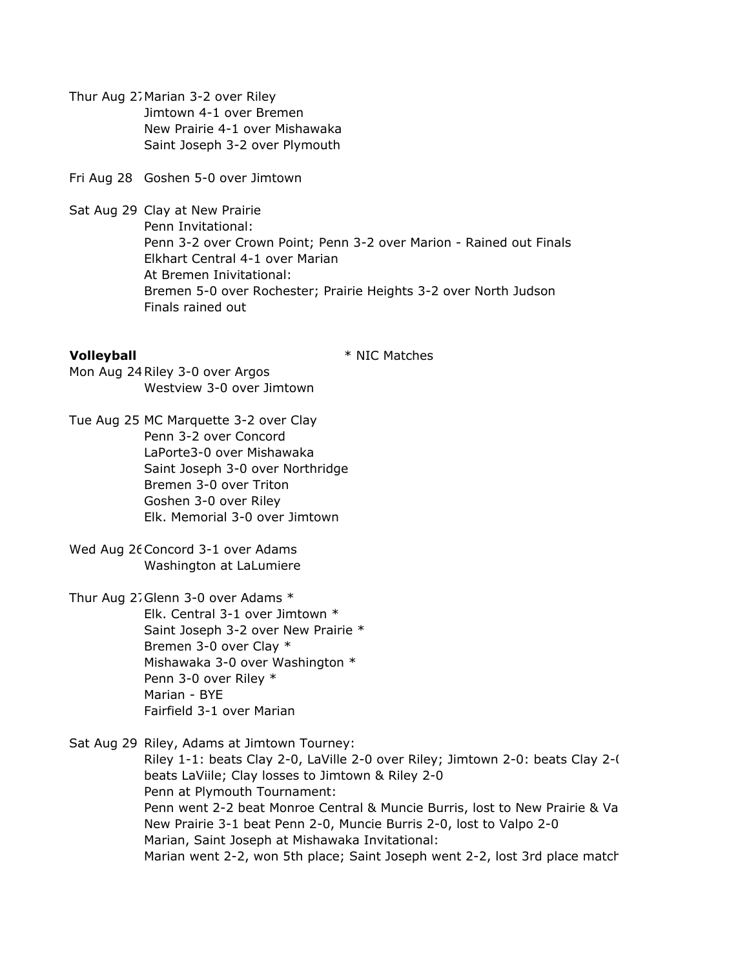Thur Aug 27Marian 3-2 over Riley Jimtown 4-1 over Bremen New Prairie 4-1 over Mishawaka Saint Joseph 3-2 over Plymouth

Fri Aug 28 Goshen 5-0 over Jimtown

Sat Aug 29 Clay at New Prairie Penn Invitational: Penn 3-2 over Crown Point; Penn 3-2 over Marion - Rained out Finals Elkhart Central 4-1 over Marian At Bremen Inivitational: Bremen 5-0 over Rochester; Prairie Heights 3-2 over North Judson Finals rained out

**Volleyball**  $*$  NIC Matches

Mon Aug 24Riley 3-0 over Argos Westview 3-0 over Jimtown

Tue Aug 25 MC Marquette 3-2 over Clay Penn 3-2 over Concord LaPorte3-0 over Mishawaka Saint Joseph 3-0 over Northridge Bremen 3-0 over Triton Goshen 3-0 over Riley Elk. Memorial 3-0 over Jimtown

Wed Aug 26 Concord 3-1 over Adams Washington at LaLumiere

Thur Aug 27Glenn 3-0 over Adams \* Elk. Central 3-1 over Jimtown \* Saint Joseph 3-2 over New Prairie \* Bremen 3-0 over Clay \* Mishawaka 3-0 over Washington \* Penn 3-0 over Riley \* Marian - BYE Fairfield 3-1 over Marian

Sat Aug 29 Riley, Adams at Jimtown Tourney:

Riley 1-1: beats Clay 2-0, LaVille 2-0 over Riley; Jimtown 2-0: beats Clay 2-0, beats LaViile; Clay losses to Jimtown & Riley 2-0 Penn at Plymouth Tournament: Penn went 2-2 beat Monroe Central & Muncie Burris, lost to New Prairie & Va New Prairie 3-1 beat Penn 2-0, Muncie Burris 2-0, lost to Valpo 2-0 Marian, Saint Joseph at Mishawaka Invitational: Marian went 2-2, won 5th place; Saint Joseph went 2-2, lost 3rd place match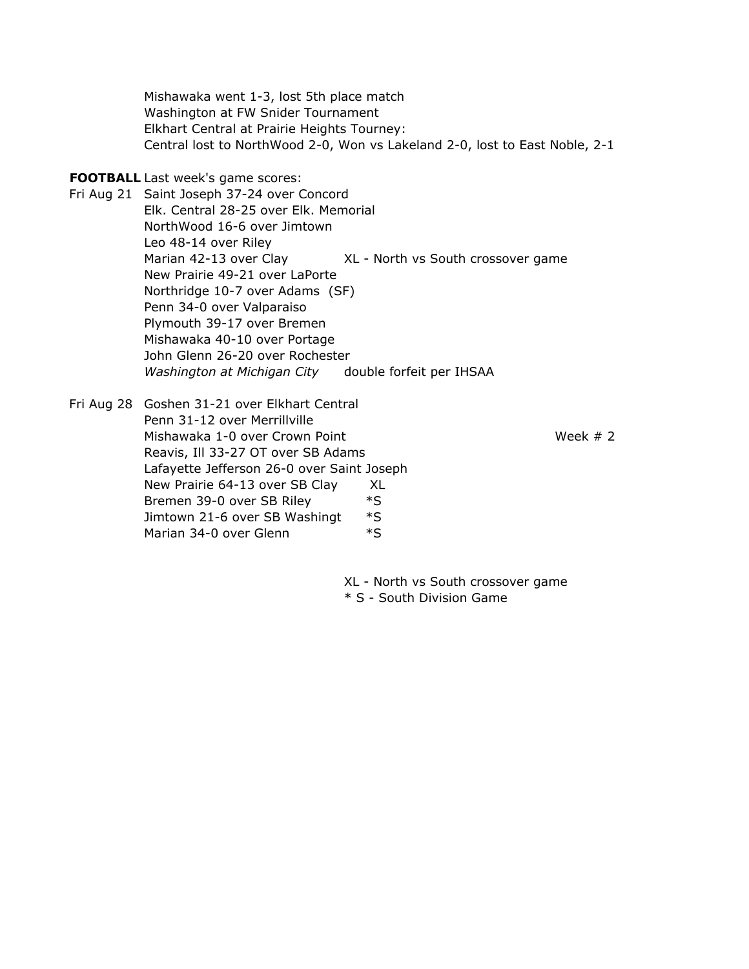Mishawaka went 1-3, lost 5th place match Washington at FW Snider Tournament Elkhart Central at Prairie Heights Tourney: Central lost to NorthWood 2-0, Won vs Lakeland 2-0, lost to East Noble, 2-1

### FOOTBALL Last week's game scores:

Fri Aug 21 Saint Joseph 37-24 over Concord Elk. Central 28-25 over Elk. Memorial NorthWood 16-6 over Jimtown Leo 48-14 over Riley Marian 42-13 over Clay XL - North vs South crossover game New Prairie 49-21 over LaPorte Northridge 10-7 over Adams (SF) Penn 34-0 over Valparaiso Plymouth 39-17 over Bremen Mishawaka 40-10 over Portage John Glenn 26-20 over Rochester Washington at Michigan City double forfeit per IHSAA

Fri Aug 28 Goshen 31-21 over Elkhart Central Penn 31-12 over Merrillville Mishawaka 1-0 over Crown Point Week # 2 Reavis, Ill 33-27 OT over SB Adams Lafayette Jefferson 26-0 over Saint Joseph New Prairie 64-13 over SB Clay XL Bremen 39-0 over SB Riley \*S Jimtown 21-6 over SB Washingt \*S Marian 34-0 over Glenn  $*$ S

XL - North vs South crossover game \* S - South Division Game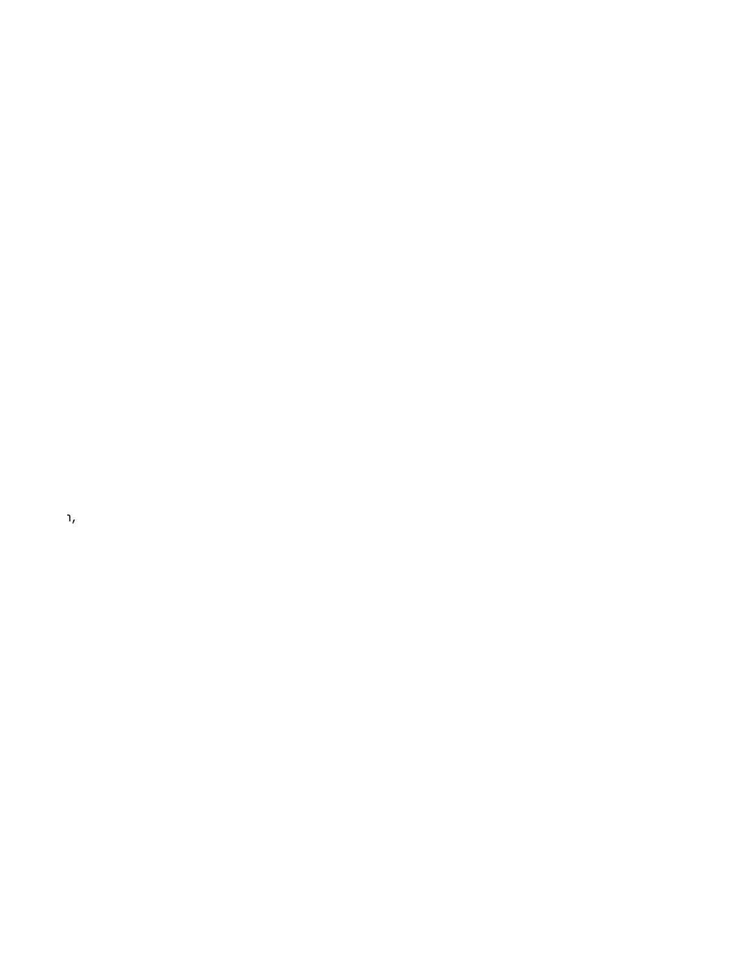$\alpha$